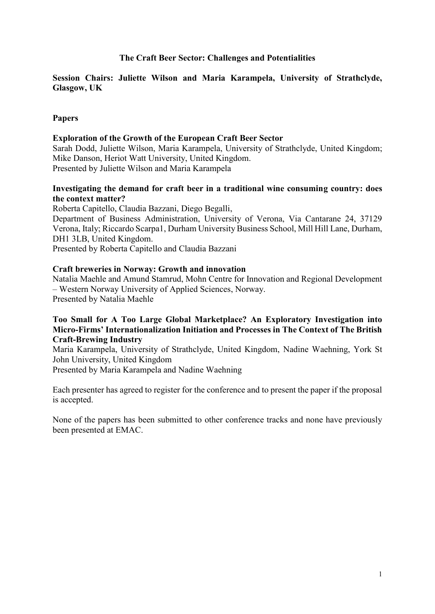# The Craft Beer Sector: Challenges and Potentialities

## Session Chairs: Juliette Wilson and Maria Karampela, University of Strathclyde, Glasgow, UK

## **Papers**

#### **Exploration of the Growth of the European Craft Beer Sector**

Sarah Dodd, Juliette Wilson, Maria Karampela, University of Strathclyde, United Kingdom; Mike Danson, Heriot Watt University, United Kingdom. Presented by Juliette Wilson and Maria Karampela

### Investigating the demand for craft beer in a traditional wine consuming country: does the context matter?

Roberta Capitello, Claudia Bazzani, Diego Begalli, Department of Business Administration, University of Verona, Via Cantarane 24, 37129 Verona, Italy; Riccardo Scarpa1, Durham University Business School, Mill Hill Lane, Durham, DH1 3LB, United Kingdom. Presented by Roberta Capitello and Claudia Bazzani

# **Craft breweries in Norway: Growth and innovation**

Natalia Maehle and Amund Stamrud, Mohn Centre for Innovation and Regional Development - Western Norway University of Applied Sciences, Norway. Presented by Natalia Maehle

#### Too Small for A Too Large Global Marketplace? An Exploratory Investigation into Micro-Firms' Internationalization Initiation and Processes in The Context of The British **Craft-Brewing Industry**

Maria Karampela, University of Strathclyde, United Kingdom, Nadine Waehning, York St John University, United Kingdom

Presented by Maria Karampela and Nadine Waehning

Each presenter has agreed to register for the conference and to present the paper if the proposal is accepted.

None of the papers has been submitted to other conference tracks and none have previously been presented at EMAC.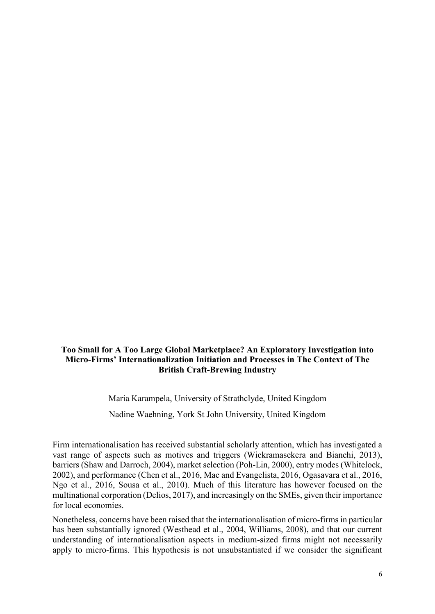## Too Small for A Too Large Global Marketplace? An Exploratory Investigation into Micro-Firms' Internationalization Initiation and Processes in The Context of The **British Craft-Brewing Industry**

Maria Karampela, University of Strathclyde, United Kingdom

Nadine Waehning, York St John University, United Kingdom

Firm internationalisation has received substantial scholarly attention, which has investigated a vast range of aspects such as motives and triggers (Wickramasekera and Bianchi, 2013), barriers (Shaw and Darroch, 2004), market selection (Poh-Lin, 2000), entry modes (Whitelock, 2002), and performance (Chen et al., 2016, Mac and Evangelista, 2016, Ogasavara et al., 2016, Ngo et al., 2016. Sousa et al., 2010). Much of this literature has however focused on the multinational corporation (Delios, 2017), and increasingly on the SMEs, given their importance for local economies.

Nonetheless, concerns have been raised that the internationalisation of micro-firms in particular has been substantially ignored (Westhead et al., 2004, Williams, 2008), and that our current understanding of internationalisation aspects in medium-sized firms might not necessarily apply to micro-firms. This hypothesis is not unsubstantiated if we consider the significant